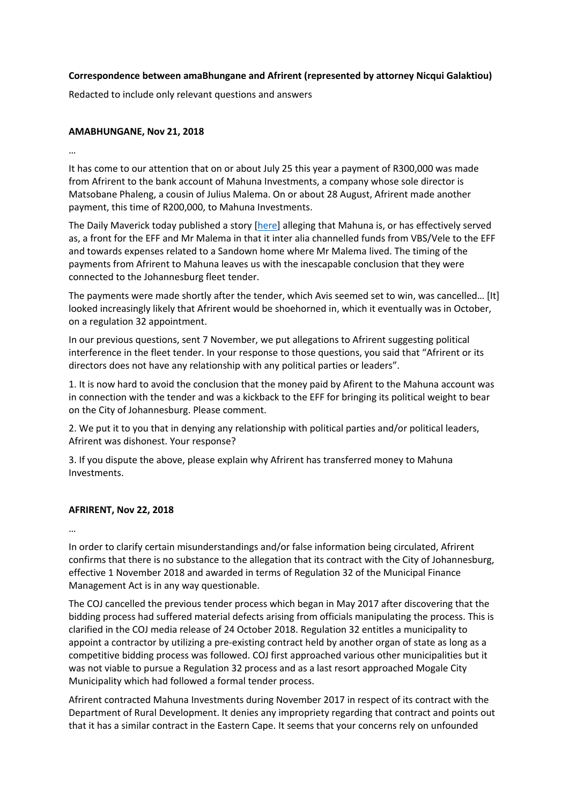## **Correspondence between amaBhungane and Afrirent (represented by attorney Nicqui Galaktiou)**

Redacted to include only relevant questions and answers

## **AMABHUNGANE, Nov 21, 2018**

…

It has come to our attention that on or about July 25 this year a payment of R300,000 was made from Afrirent to the bank account of Mahuna Investments, a company whose sole director is Matsobane Phaleng, a cousin of Julius Malema. On or about 28 August, Afrirent made another payment, this time of R200,000, to Mahuna Investments.

The Daily Maverick today published a story [here] alleging that Mahuna is, or has effectively served as, a front for the EFF and Mr Malema in that it inter alia channelled funds from VBS/Vele to the EFF and towards expenses related to a Sandown home where Mr Malema lived. The timing of the payments from Afrirent to Mahuna leaves us with the inescapable conclusion that they were connected to the Johannesburg fleet tender.

The payments were made shortly after the tender, which Avis seemed set to win, was cancelled… [It] looked increasingly likely that Afrirent would be shoehorned in, which it eventually was in October, on a regulation 32 appointment.

In our previous questions, sent 7 November, we put allegations to Afrirent suggesting political interference in the fleet tender. In your response to those questions, you said that "Afrirent or its directors does not have any relationship with any political parties or leaders".

1. It is now hard to avoid the conclusion that the money paid by Afirent to the Mahuna account was in connection with the tender and was a kickback to the EFF for bringing its political weight to bear on the City of Johannesburg. Please comment.

2. We put it to you that in denying any relationship with political parties and/or political leaders, Afrirent was dishonest. Your response?

3. If you dispute the above, please explain why Afrirent has transferred money to Mahuna Investments.

# **AFRIRENT, Nov 22, 2018**

…

In order to clarify certain misunderstandings and/or false information being circulated, Afrirent confirms that there is no substance to the allegation that its contract with the City of Johannesburg, effective 1 November 2018 and awarded in terms of Regulation 32 of the Municipal Finance Management Act is in any way questionable.

The COJ cancelled the previous tender process which began in May 2017 after discovering that the bidding process had suffered material defects arising from officials manipulating the process. This is clarified in the COJ media release of 24 October 2018. Regulation 32 entitles a municipality to appoint a contractor by utilizing a pre-existing contract held by another organ of state as long as a competitive bidding process was followed. COJ first approached various other municipalities but it was not viable to pursue a Regulation 32 process and as a last resort approached Mogale City Municipality which had followed a formal tender process.

Afrirent contracted Mahuna Investments during November 2017 in respect of its contract with the Department of Rural Development. It denies any impropriety regarding that contract and points out that it has a similar contract in the Eastern Cape. It seems that your concerns rely on unfounded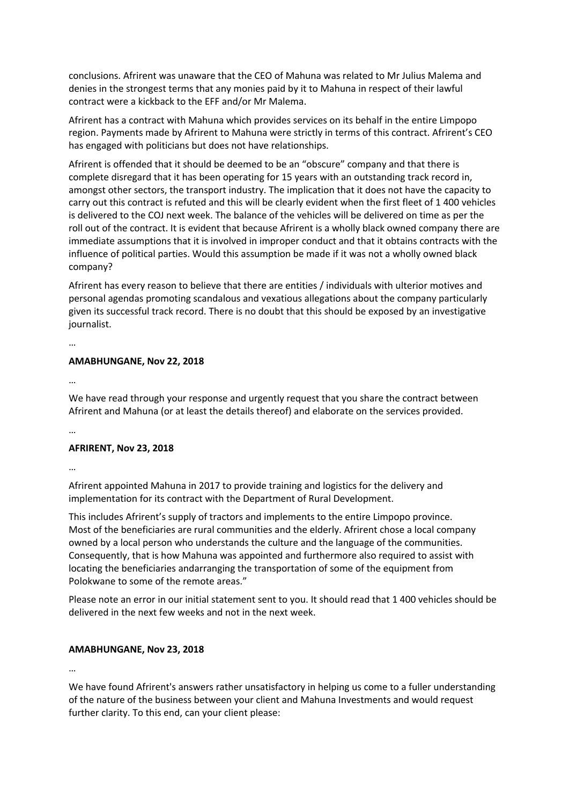conclusions. Afrirent was unaware that the CEO of Mahuna was related to Mr Julius Malema and denies in the strongest terms that any monies paid by it to Mahuna in respect of their lawful contract were a kickback to the EFF and/or Mr Malema.

Afrirent has a contract with Mahuna which provides services on its behalf in the entire Limpopo region. Payments made by Afrirent to Mahuna were strictly in terms of this contract. Afrirent's CEO has engaged with politicians but does not have relationships.

Afrirent is offended that it should be deemed to be an "obscure" company and that there is complete disregard that it has been operating for 15 years with an outstanding track record in, amongst other sectors, the transport industry. The implication that it does not have the capacity to carry out this contract is refuted and this will be clearly evident when the first fleet of 1 400 vehicles is delivered to the COJ next week. The balance of the vehicles will be delivered on time as per the roll out of the contract. It is evident that because Afrirent is a wholly black owned company there are immediate assumptions that it is involved in improper conduct and that it obtains contracts with the influence of political parties. Would this assumption be made if it was not a wholly owned black company?

Afrirent has every reason to believe that there are entities / individuals with ulterior motives and personal agendas promoting scandalous and vexatious allegations about the company particularly given its successful track record. There is no doubt that this should be exposed by an investigative journalist.

…

### **AMABHUNGANE, Nov 22, 2018**

…

We have read through your response and urgently request that you share the contract between Afrirent and Mahuna (or at least the details thereof) and elaborate on the services provided.

…

### **AFRIRENT, Nov 23, 2018**

…

Afrirent appointed Mahuna in 2017 to provide training and logistics for the delivery and implementation for its contract with the Department of Rural Development.

This includes Afrirent's supply of tractors and implements to the entire Limpopo province. Most of the beneficiaries are rural communities and the elderly. Afrirent chose a local company owned by a local person who understands the culture and the language of the communities. Consequently, that is how Mahuna was appointed and furthermore also required to assist with locating the beneficiaries andarranging the transportation of some of the equipment from Polokwane to some of the remote areas."

Please note an error in our initial statement sent to you. It should read that 1 400 vehicles should be delivered in the next few weeks and not in the next week.

### **AMABHUNGANE, Nov 23, 2018**

…

We have found Afrirent's answers rather unsatisfactory in helping us come to a fuller understanding of the nature of the business between your client and Mahuna Investments and would request further clarity. To this end, can your client please: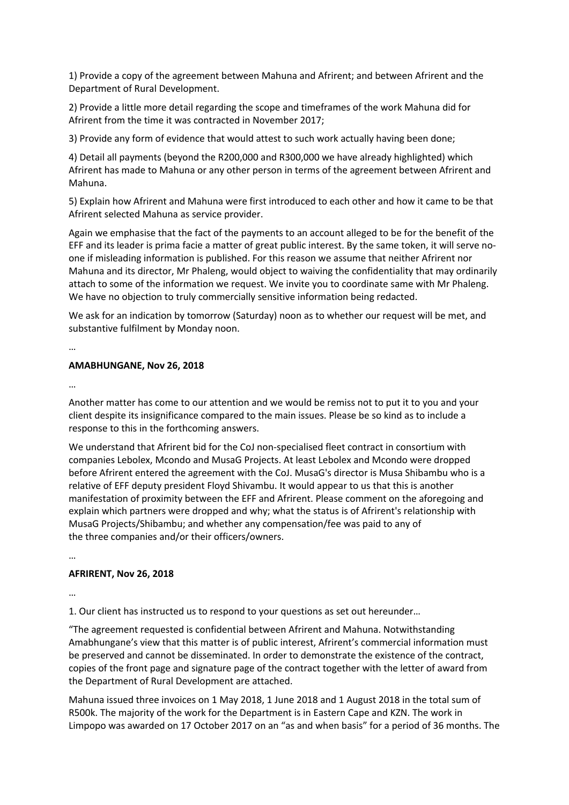1) Provide a copy of the agreement between Mahuna and Afrirent; and between Afrirent and the Department of Rural Development.

2) Provide a little more detail regarding the scope and timeframes of the work Mahuna did for Afrirent from the time it was contracted in November 2017;

3) Provide any form of evidence that would attest to such work actually having been done;

4) Detail all payments (beyond the R200,000 and R300,000 we have already highlighted) which Afrirent has made to Mahuna or any other person in terms of the agreement between Afrirent and Mahuna.

5) Explain how Afrirent and Mahuna were first introduced to each other and how it came to be that Afrirent selected Mahuna as service provider.

Again we emphasise that the fact of the payments to an account alleged to be for the benefit of the EFF and its leader is prima facie a matter of great public interest. By the same token, it will serve noone if misleading information is published. For this reason we assume that neither Afrirent nor Mahuna and its director, Mr Phaleng, would object to waiving the confidentiality that may ordinarily attach to some of the information we request. We invite you to coordinate same with Mr Phaleng. We have no objection to truly commercially sensitive information being redacted.

We ask for an indication by tomorrow (Saturday) noon as to whether our request will be met, and substantive fulfilment by Monday noon.

…

#### **AMABHUNGANE, Nov 26, 2018**

…

Another matter has come to our attention and we would be remiss not to put it to you and your client despite its insignificance compared to the main issues. Please be so kind as to include a response to this in the forthcoming answers.

We understand that Afrirent bid for the CoJ non-specialised fleet contract in consortium with companies Lebolex, Mcondo and MusaG Projects. At least Lebolex and Mcondo were dropped before Afrirent entered the agreement with the CoJ. MusaG's director is Musa Shibambu who is a relative of EFF deputy president Floyd Shivambu. It would appear to us that this is another manifestation of proximity between the EFF and Afrirent. Please comment on the aforegoing and explain which partners were dropped and why; what the status is of Afrirent's relationship with MusaG Projects/Shibambu; and whether any compensation/fee was paid to any of the three companies and/or their officers/owners.

…

### **AFRIRENT, Nov 26, 2018**

…

1. Our client has instructed us to respond to your questions as set out hereunder…

"The agreement requested is confidential between Afrirent and Mahuna. Notwithstanding Amabhungane's view that this matter is of public interest, Afrirent's commercial information must be preserved and cannot be disseminated. In order to demonstrate the existence of the contract, copies of the front page and signature page of the contract together with the letter of award from the Department of Rural Development are attached.

Mahuna issued three invoices on 1 May 2018, 1 June 2018 and 1 August 2018 in the total sum of R500k. The majority of the work for the Department is in Eastern Cape and KZN. The work in Limpopo was awarded on 17 October 2017 on an "as and when basis" for a period of 36 months. The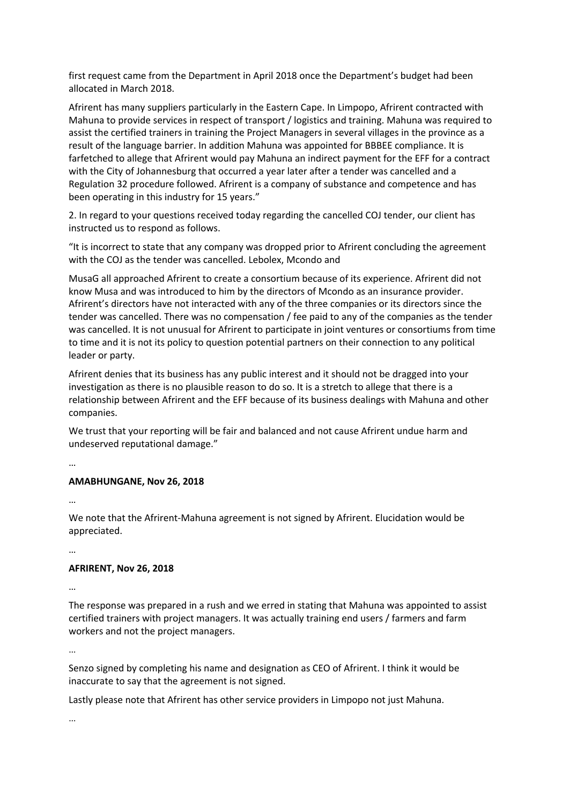first request came from the Department in April 2018 once the Department's budget had been allocated in March 2018.

Afrirent has many suppliers particularly in the Eastern Cape. In Limpopo, Afrirent contracted with Mahuna to provide services in respect of transport / logistics and training. Mahuna was required to assist the certified trainers in training the Project Managers in several villages in the province as a result of the language barrier. In addition Mahuna was appointed for BBBEE compliance. It is farfetched to allege that Afrirent would pay Mahuna an indirect payment for the EFF for a contract with the City of Johannesburg that occurred a year later after a tender was cancelled and a Regulation 32 procedure followed. Afrirent is a company of substance and competence and has been operating in this industry for 15 years."

2. In regard to your questions received today regarding the cancelled COJ tender, our client has instructed us to respond as follows.

"It is incorrect to state that any company was dropped prior to Afrirent concluding the agreement with the COJ as the tender was cancelled. Lebolex, Mcondo and

MusaG all approached Afrirent to create a consortium because of its experience. Afrirent did not know Musa and was introduced to him by the directors of Mcondo as an insurance provider. Afrirent's directors have not interacted with any of the three companies or its directors since the tender was cancelled. There was no compensation / fee paid to any of the companies as the tender was cancelled. It is not unusual for Afrirent to participate in joint ventures or consortiums from time to time and it is not its policy to question potential partners on their connection to any political leader or party.

Afrirent denies that its business has any public interest and it should not be dragged into your investigation as there is no plausible reason to do so. It is a stretch to allege that there is a relationship between Afrirent and the EFF because of its business dealings with Mahuna and other companies.

We trust that your reporting will be fair and balanced and not cause Afrirent undue harm and undeserved reputational damage."

…

### **AMABHUNGANE, Nov 26, 2018**

…

We note that the Afrirent-Mahuna agreement is not signed by Afrirent. Elucidation would be appreciated.

…

### **AFRIRENT, Nov 26, 2018**

…

The response was prepared in a rush and we erred in stating that Mahuna was appointed to assist certified trainers with project managers. It was actually training end users / farmers and farm workers and not the project managers.

…

Senzo signed by completing his name and designation as CEO of Afrirent. I think it would be inaccurate to say that the agreement is not signed.

Lastly please note that Afrirent has other service providers in Limpopo not just Mahuna.

…